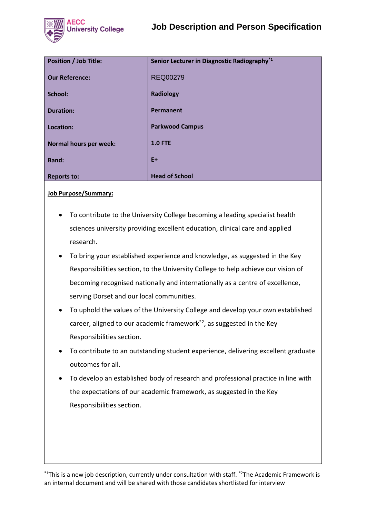

| <b>Position / Job Title:</b> | Senior Lecturer in Diagnostic Radiography <sup>*1</sup> |
|------------------------------|---------------------------------------------------------|
| <b>Our Reference:</b>        | <b>REQ00279</b>                                         |
| School:                      | <b>Radiology</b>                                        |
| <b>Duration:</b>             | Permanent                                               |
| Location:                    | <b>Parkwood Campus</b>                                  |
| Normal hours per week:       | <b>1.0 FTE</b>                                          |
| <b>Band:</b>                 | $E+$                                                    |
| <b>Reports to:</b>           | <b>Head of School</b>                                   |

**Job Purpose/Summary:**

- To contribute to the University College becoming a leading specialist health sciences university providing excellent education, clinical care and applied research.
- To bring your established experience and knowledge, as suggested in the Key Responsibilities section, to the University College to help achieve our vision of becoming recognised nationally and internationally as a centre of excellence, serving Dorset and our local communities.
- To uphold the values of the University College and develop your own established career, aligned to our academic framework\*2, as suggested in the Key Responsibilities section.
- To contribute to an outstanding student experience, delivering excellent graduate outcomes for all.
- To develop an established body of research and professional practice in line with the expectations of our academic framework, as suggested in the Key Responsibilities section.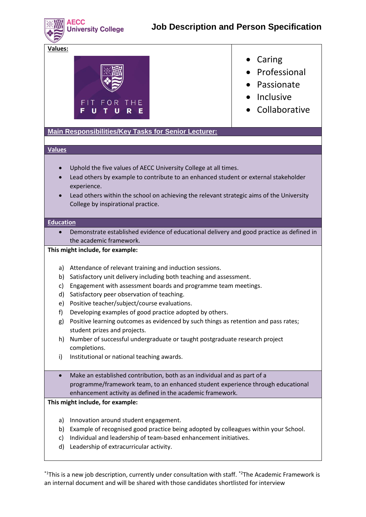**AECC University College** 

**Values:**



- Caring
- Professional
- Passionate
- Inclusive
- Collaborative

**Main Responsibilities/Key Tasks for Senior Lecturer:**

# **Values**

- Uphold the five values of AECC University College at all times.
- Lead others by example to contribute to an enhanced student or external stakeholder experience.
- Lead others within the school on achieving the relevant strategic aims of the University College by inspirational practice.

# **Education**

• Demonstrate established evidence of educational delivery and good practice as defined in the academic framework.

# **This might include, for example:**

- a) Attendance of relevant training and induction sessions.
- b) Satisfactory unit delivery including both teaching and assessment.
- c) Engagement with assessment boards and programme team meetings.
- d) Satisfactory peer observation of teaching.
- e) Positive teacher/subject/course evaluations.
- f) Developing examples of good practice adopted by others.
- g) Positive learning outcomes as evidenced by such things as retention and pass rates; student prizes and projects.
- h) Number of successful undergraduate or taught postgraduate research project completions.
- i) Institutional or national teaching awards.
- Make an established contribution, both as an individual and as part of a programme/framework team, to an enhanced student experience through educational enhancement activity as defined in the academic framework.

# **This might include, for example:**

- a) Innovation around student engagement.
- b) Example of recognised good practice being adopted by colleagues within your School.
- c) Individual and leadership of team-based enhancement initiatives.
- d) Leadership of extracurricular activity.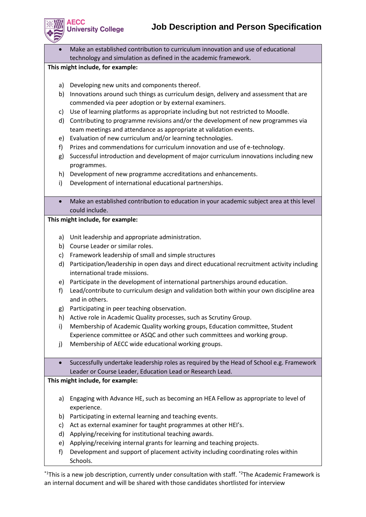

**AECC** 

• Make an established contribution to curriculum innovation and use of educational technology and simulation as defined in the academic framework.

# **This might include, for example:**

**University College** 

- a) Developing new units and components thereof.
- b) Innovations around such things as curriculum design, delivery and assessment that are commended via peer adoption or by external examiners.
- c) Use of learning platforms as appropriate including but not restricted to Moodle.
- d) Contributing to programme revisions and/or the development of new programmes via team meetings and attendance as appropriate at validation events.
- e) Evaluation of new curriculum and/or learning technologies.
- f) Prizes and commendations for curriculum innovation and use of e-technology.
- g) Successful introduction and development of major curriculum innovations including new programmes.
- h) Development of new programme accreditations and enhancements.
- i) Development of international educational partnerships.
- Make an established contribution to education in your academic subject area at this level could include.

# **This might include, for example:**

- a) Unit leadership and appropriate administration.
- b) Course Leader or similar roles.
- c) Framework leadership of small and simple structures
- d) Participation/leadership in open days and direct educational recruitment activity including international trade missions.
- e) Participate in the development of international partnerships around education.
- f) Lead/contribute to curriculum design and validation both within your own discipline area and in others.
- g) Participating in peer teaching observation.
- h) Active role in Academic Quality processes, such as Scrutiny Group.
- i) Membership of Academic Quality working groups, Education committee, Student Experience committee or ASQC and other such committees and working group.
- j) Membership of AECC wide educational working groups.
- Successfully undertake leadership roles as required by the Head of School e.g. Framework Leader or Course Leader, Education Lead or Research Lead.

# **This might include, for example:**

- a) Engaging with Advance HE, such as becoming an HEA Fellow as appropriate to level of experience.
- b) Participating in external learning and teaching events.
- c) Act as external examiner for taught programmes at other HEI's.
- d) Applying/receiving for institutional teaching awards.
- e) Applying/receiving internal grants for learning and teaching projects.
- f) Development and support of placement activity including coordinating roles within Schools.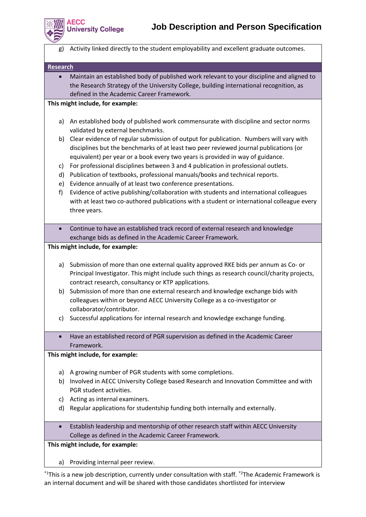

**\ECC** 

g) Activity linked directly to the student employability and excellent graduate outcomes.

**Research**

• Maintain an established body of published work relevant to your discipline and aligned to the Research Strategy of the University College, building international recognition, as defined in the Academic Career Framework.

#### **This might include, for example:**

**Jniversity College** 

- a) An established body of published work commensurate with discipline and sector norms validated by external benchmarks.
- b) Clear evidence of regular submission of output for publication. Numbers will vary with disciplines but the benchmarks of at least two peer reviewed journal publications (or equivalent) per year or a book every two years is provided in way of guidance.
- c) For professional disciplines between 3 and 4 publication in professional outlets.
- d) Publication of textbooks, professional manuals/books and technical reports.
- e) Evidence annually of at least two conference presentations.
- f) Evidence of active publishing/collaboration with students and international colleagues with at least two co-authored publications with a student or international colleague every three years.
- Continue to have an established track record of external research and knowledge exchange bids as defined in the Academic Career Framework.

**This might include, for example:**

- a) Submission of more than one external quality approved RKE bids per annum as Co- or Principal Investigator. This might include such things as research council/charity projects, contract research, consultancy or KTP applications.
- b) Submission of more than one external research and knowledge exchange bids with colleagues within or beyond AECC University College as a co-investigator or collaborator/contributor.
- c) Successful applications for internal research and knowledge exchange funding.
- Have an established record of PGR supervision as defined in the Academic Career Framework.

#### **This might include, for example:**

- a) A growing number of PGR students with some completions.
- b) Involved in AECC University College based Research and Innovation Committee and with PGR student activities.
- c) Acting as internal examiners.
- d) Regular applications for studentship funding both internally and externally.
- Establish leadership and mentorship of other research staff within AECC University College as defined in the Academic Career Framework.

**This might include, for example:**

a) Providing internal peer review.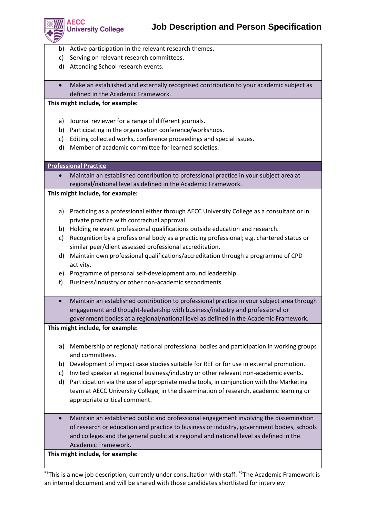

**AECC** 

- b) Active participation in the relevant research themes.
- c) Serving on relevant research committees.
- d) Attending School research events.
- Make an established and externally recognised contribution to your academic subject as defined in the Academic Framework.

#### **This might include, for example:**

**University College** 

- a) Journal reviewer for a range of different journals.
- b) Participating in the organisation conference/workshops.
- c) Editing collected works, conference proceedings and special issues.
- d) Member of academic committee for learned societies.

#### **Professional Practice**

• Maintain an established contribution to professional practice in your subject area at regional/national level as defined in the Academic Framework.

# **This might include, for example:**

- a) Practicing as a professional either through AECC University College as a consultant or in private practice with contractual approval.
- b) Holding relevant professional qualifications outside education and research.
- c) Recognition by a professional body as a practicing professional; e.g. chartered status or similar peer/client assessed professional accreditation.
- d) Maintain own professional qualifications/accreditation through a programme of CPD activity.
- e) Programme of personal self-development around leadership.
- f) Business/industry or other non-academic secondments.
- Maintain an established contribution to professional practice in your subject area through engagement and thought-leadership with business/industry and professional or government bodies at a regional/national level as defined in the Academic Framework.

#### **This might include, for example:**

- a) Membership of regional/ national professional bodies and participation in working groups and committees.
- b) Development of impact case studies suitable for REF or for use in external promotion.
- c) Invited speaker at regional business/industry or other relevant non-academic events.
- d) Participation via the use of appropriate media tools, in conjunction with the Marketing team at AECC University College, in the dissemination of research, academic learning or appropriate critical comment.
- Maintain an established public and professional engagement involving the dissemination of research or education and practice to business or industry, government bodies, schools and colleges and the general public at a regional and national level as defined in the Academic Framework.

#### **This might include, for example:**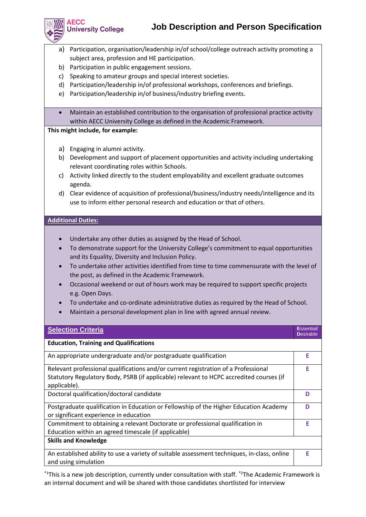# **Job Description and Person Specification**



**AECC** 

**University College** 

- a) Participation, organisation/leadership in/of school/college outreach activity promoting a subject area, profession and HE participation.
- b) Participation in public engagement sessions.
- c) Speaking to amateur groups and special interest societies.
- d) Participation/leadership in/of professional workshops, conferences and briefings.
- e) Participation/leadership in/of business/industry briefing events.
- Maintain an established contribution to the organisation of professional practice activity within AECC University College as defined in the Academic Framework.

# **This might include, for example:**

- a) Engaging in alumni activity.
- b) Development and support of placement opportunities and activity including undertaking relevant coordinating roles within Schools.
- c) Activity linked directly to the student employability and excellent graduate outcomes agenda.
- d) Clear evidence of acquisition of professional/business/industry needs/intelligence and its use to inform either personal research and education or that of others.

# **Additional Duties:**

- Undertake any other duties as assigned by the Head of School.
- To demonstrate support for the University College's commitment to equal opportunities and its Equality, Diversity and Inclusion Policy.
- To undertake other activities identified from time to time commensurate with the level of the post, as defined in the Academic Framework.
- Occasional weekend or out of hours work may be required to support specific projects e.g. Open Days.
- To undertake and co-ordinate administrative duties as required by the Head of School.
- Maintain a personal development plan in line with agreed annual review.

| <b>Selection Criteria</b>                                                                                                             | Essential/<br><b>Desirable</b> |
|---------------------------------------------------------------------------------------------------------------------------------------|--------------------------------|
| <b>Education, Training and Qualifications</b>                                                                                         |                                |
| An appropriate undergraduate and/or postgraduate qualification                                                                        | E                              |
| Relevant professional qualifications and/or current registration of a Professional                                                    |                                |
| Statutory Regulatory Body, PSRB (if applicable) relevant to HCPC accredited courses (if<br>applicable).                               |                                |
| Doctoral qualification/doctoral candidate                                                                                             |                                |
| Postgraduate qualification in Education or Fellowship of the Higher Education Academy<br>or significant experience in education       |                                |
| Commitment to obtaining a relevant Doctorate or professional qualification in<br>Education within an agreed timescale (if applicable) |                                |
| <b>Skills and Knowledge</b>                                                                                                           |                                |
| An established ability to use a variety of suitable assessment techniques, in-class, online<br>and using simulation                   | F                              |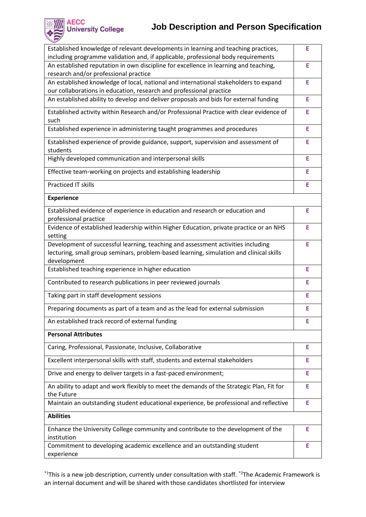

# **Job Description and Person Specification**

| Established knowledge of relevant developments in learning and teaching practices,<br>including programme validation and, if applicable, professional body requirements                    |    |
|--------------------------------------------------------------------------------------------------------------------------------------------------------------------------------------------|----|
| An established reputation in own discipline for excellence in learning and teaching,<br>research and/or professional practice                                                              |    |
| An established knowledge of local, national and international stakeholders to expand<br>our collaborations in education, research and professional practice                                |    |
| An established ability to develop and deliver proposals and bids for external funding                                                                                                      |    |
| Established activity within Research and/or Professional Practice with clear evidence of<br>such                                                                                           |    |
| Established experience in administering taught programmes and procedures                                                                                                                   |    |
| Established experience of provide guidance, support, supervision and assessment of<br>students                                                                                             |    |
| Highly developed communication and interpersonal skills                                                                                                                                    |    |
| Effective team-working on projects and establishing leadership                                                                                                                             |    |
| <b>Practiced IT skills</b>                                                                                                                                                                 | E  |
| <b>Experience</b>                                                                                                                                                                          |    |
| Established evidence of experience in education and research or education and<br>professional practice                                                                                     | E  |
| Evidence of established leadership within Higher Education, private practice or an NHS<br>setting                                                                                          |    |
| Development of successful learning, teaching and assessment activities including<br>lecturing, small group seminars, problem-based learning, simulation and clinical skills<br>development |    |
| Established teaching experience in higher education                                                                                                                                        | E  |
| Contributed to research publications in peer reviewed journals                                                                                                                             | E  |
| Taking part in staff development sessions                                                                                                                                                  | Е  |
| Preparing documents as part of a team and as the lead for external submission                                                                                                              | E  |
| An established track record of external funding                                                                                                                                            | Ŀ. |
| <b>Personal Attributes</b>                                                                                                                                                                 |    |
| Caring, Professional, Passionate, Inclusive, Collaborative                                                                                                                                 | Е  |
| Excellent interpersonal skills with staff, students and external stakeholders                                                                                                              | E. |
| Drive and energy to deliver targets in a fast-paced environment;                                                                                                                           | Е  |
| An ability to adapt and work flexibly to meet the demands of the Strategic Plan, Fit for<br>the Future                                                                                     |    |
| Maintain an outstanding student educational experience, be professional and reflective                                                                                                     | E  |
| <b>Abilities</b>                                                                                                                                                                           |    |
| Enhance the University College community and contribute to the development of the<br>institution                                                                                           |    |
| Commitment to developing academic excellence and an outstanding student<br>experience                                                                                                      |    |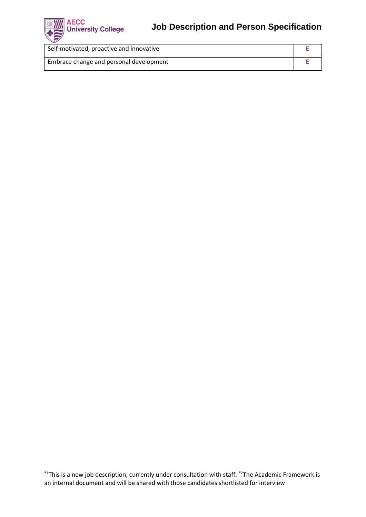

| Self-motivated, proactive and innovative |  |
|------------------------------------------|--|
| Embrace change and personal development  |  |